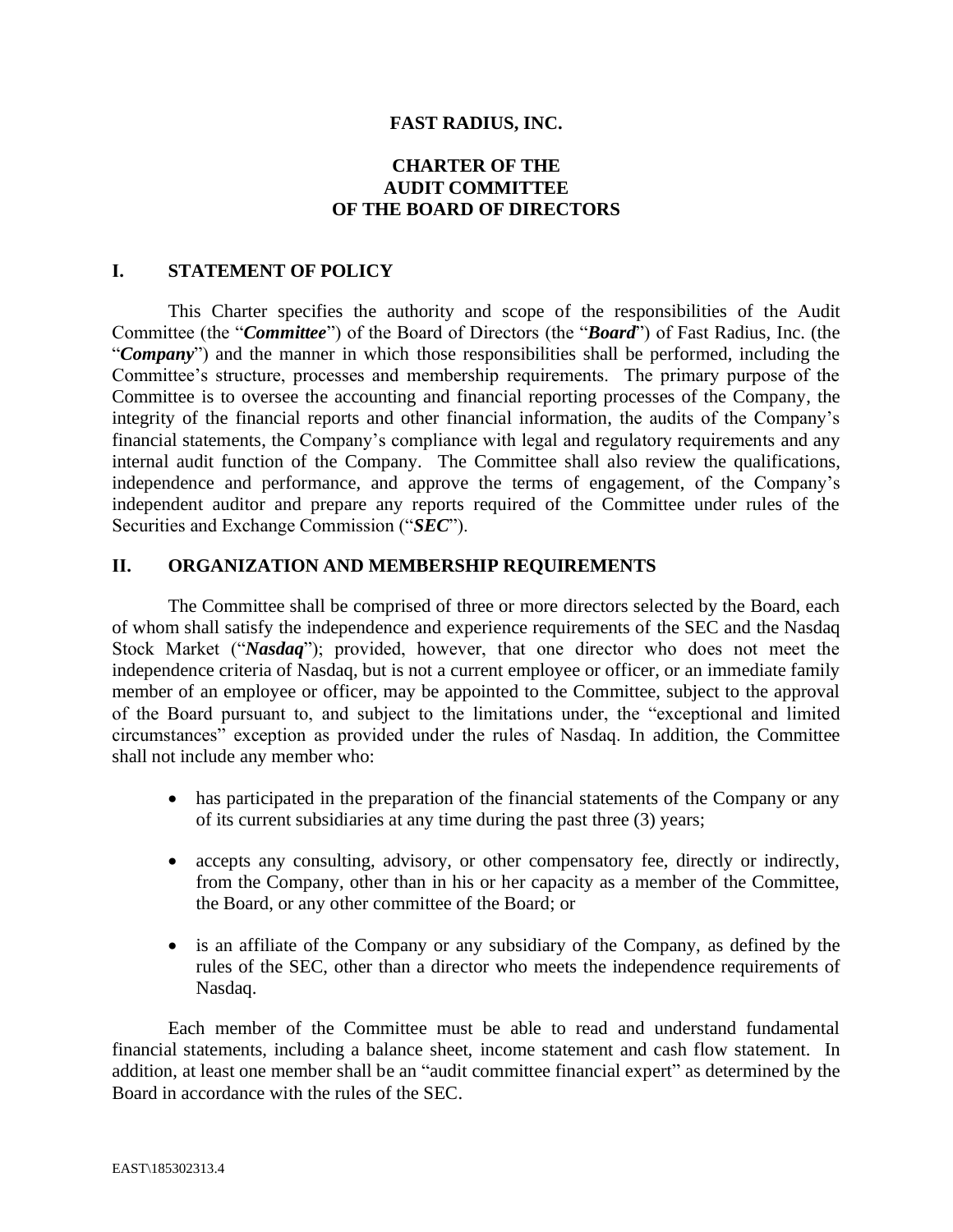#### **FAST RADIUS, INC.**

# **CHARTER OF THE AUDIT COMMITTEE OF THE BOARD OF DIRECTORS**

#### **I. STATEMENT OF POLICY**

This Charter specifies the authority and scope of the responsibilities of the Audit Committee (the "*Committee*") of the Board of Directors (the "*Board*") of Fast Radius, Inc. (the "*Company*") and the manner in which those responsibilities shall be performed, including the Committee's structure, processes and membership requirements. The primary purpose of the Committee is to oversee the accounting and financial reporting processes of the Company, the integrity of the financial reports and other financial information, the audits of the Company's financial statements, the Company's compliance with legal and regulatory requirements and any internal audit function of the Company. The Committee shall also review the qualifications, independence and performance, and approve the terms of engagement, of the Company's independent auditor and prepare any reports required of the Committee under rules of the Securities and Exchange Commission ("*SEC*").

#### **II. ORGANIZATION AND MEMBERSHIP REQUIREMENTS**

The Committee shall be comprised of three or more directors selected by the Board, each of whom shall satisfy the independence and experience requirements of the SEC and the Nasdaq Stock Market ("*Nasdaq*"); provided, however, that one director who does not meet the independence criteria of Nasdaq, but is not a current employee or officer, or an immediate family member of an employee or officer, may be appointed to the Committee, subject to the approval of the Board pursuant to, and subject to the limitations under, the "exceptional and limited circumstances" exception as provided under the rules of Nasdaq. In addition, the Committee shall not include any member who:

- has participated in the preparation of the financial statements of the Company or any of its current subsidiaries at any time during the past three (3) years;
- accepts any consulting, advisory, or other compensatory fee, directly or indirectly, from the Company, other than in his or her capacity as a member of the Committee, the Board, or any other committee of the Board; or
- is an affiliate of the Company or any subsidiary of the Company, as defined by the rules of the SEC, other than a director who meets the independence requirements of Nasdaq.

Each member of the Committee must be able to read and understand fundamental financial statements, including a balance sheet, income statement and cash flow statement. In addition, at least one member shall be an "audit committee financial expert" as determined by the Board in accordance with the rules of the SEC.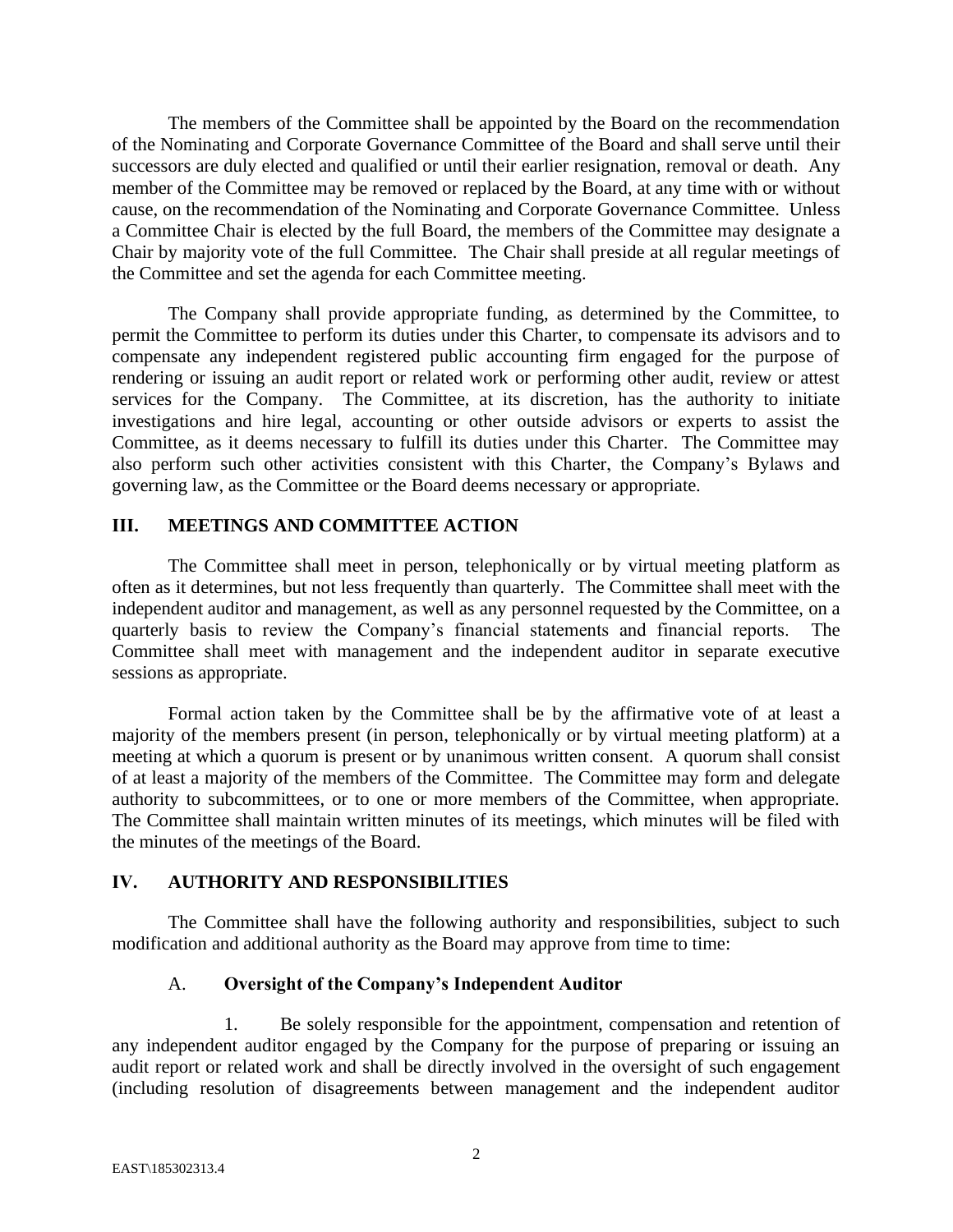The members of the Committee shall be appointed by the Board on the recommendation of the Nominating and Corporate Governance Committee of the Board and shall serve until their successors are duly elected and qualified or until their earlier resignation, removal or death. Any member of the Committee may be removed or replaced by the Board, at any time with or without cause, on the recommendation of the Nominating and Corporate Governance Committee. Unless a Committee Chair is elected by the full Board, the members of the Committee may designate a Chair by majority vote of the full Committee. The Chair shall preside at all regular meetings of the Committee and set the agenda for each Committee meeting.

The Company shall provide appropriate funding, as determined by the Committee, to permit the Committee to perform its duties under this Charter, to compensate its advisors and to compensate any independent registered public accounting firm engaged for the purpose of rendering or issuing an audit report or related work or performing other audit, review or attest services for the Company. The Committee, at its discretion, has the authority to initiate investigations and hire legal, accounting or other outside advisors or experts to assist the Committee, as it deems necessary to fulfill its duties under this Charter. The Committee may also perform such other activities consistent with this Charter, the Company's Bylaws and governing law, as the Committee or the Board deems necessary or appropriate.

## **III. MEETINGS AND COMMITTEE ACTION**

The Committee shall meet in person, telephonically or by virtual meeting platform as often as it determines, but not less frequently than quarterly. The Committee shall meet with the independent auditor and management, as well as any personnel requested by the Committee, on a quarterly basis to review the Company's financial statements and financial reports. The Committee shall meet with management and the independent auditor in separate executive sessions as appropriate.

Formal action taken by the Committee shall be by the affirmative vote of at least a majority of the members present (in person, telephonically or by virtual meeting platform) at a meeting at which a quorum is present or by unanimous written consent. A quorum shall consist of at least a majority of the members of the Committee. The Committee may form and delegate authority to subcommittees, or to one or more members of the Committee, when appropriate. The Committee shall maintain written minutes of its meetings, which minutes will be filed with the minutes of the meetings of the Board.

## **IV. AUTHORITY AND RESPONSIBILITIES**

The Committee shall have the following authority and responsibilities, subject to such modification and additional authority as the Board may approve from time to time:

## A. **Oversight of the Company's Independent Auditor**

1. Be solely responsible for the appointment, compensation and retention of any independent auditor engaged by the Company for the purpose of preparing or issuing an audit report or related work and shall be directly involved in the oversight of such engagement (including resolution of disagreements between management and the independent auditor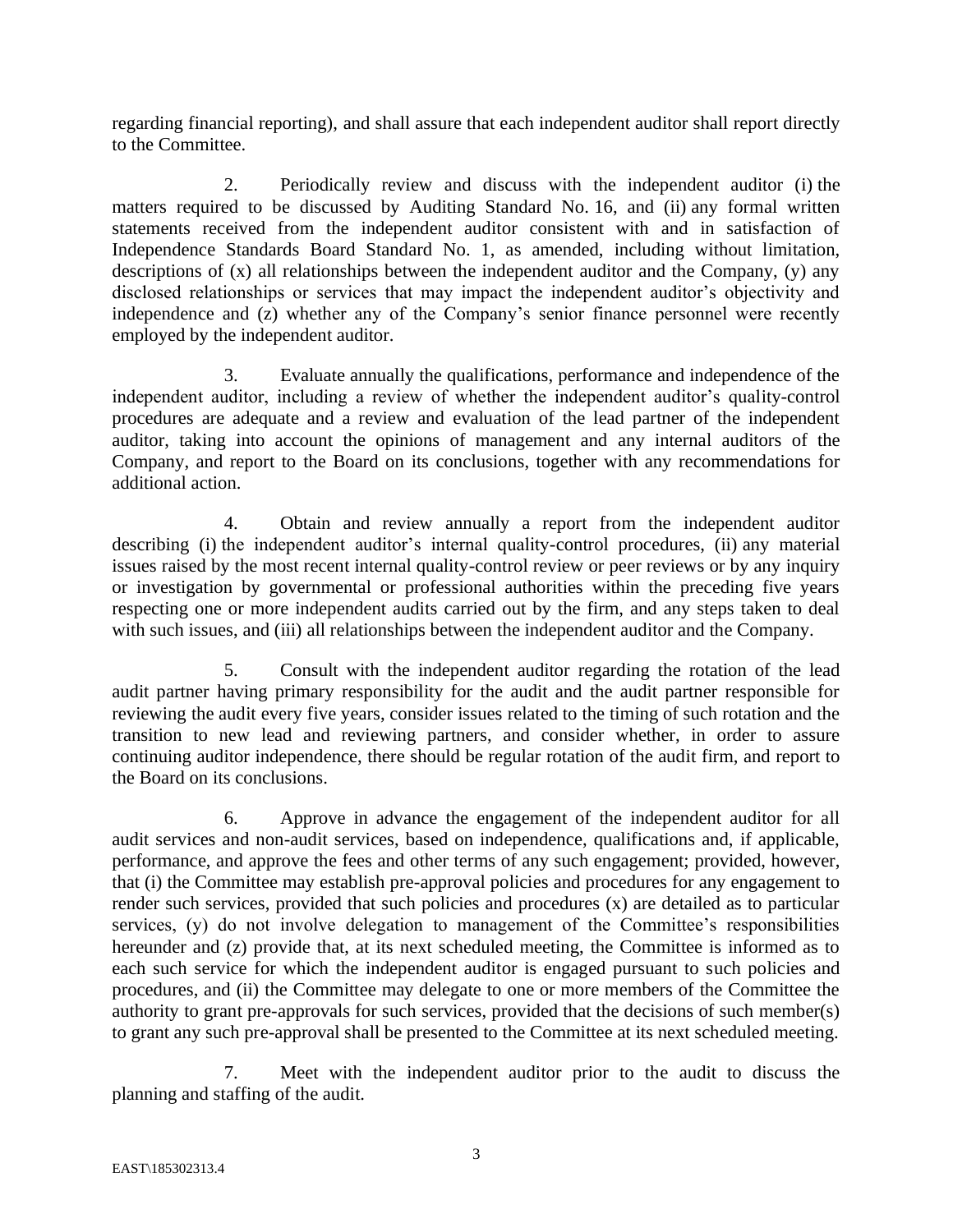regarding financial reporting), and shall assure that each independent auditor shall report directly to the Committee.

2. Periodically review and discuss with the independent auditor (i) the matters required to be discussed by Auditing Standard No. 16, and (ii) any formal written statements received from the independent auditor consistent with and in satisfaction of Independence Standards Board Standard No. 1, as amended, including without limitation, descriptions of (x) all relationships between the independent auditor and the Company, (y) any disclosed relationships or services that may impact the independent auditor's objectivity and independence and (z) whether any of the Company's senior finance personnel were recently employed by the independent auditor.

3. Evaluate annually the qualifications, performance and independence of the independent auditor, including a review of whether the independent auditor's quality-control procedures are adequate and a review and evaluation of the lead partner of the independent auditor, taking into account the opinions of management and any internal auditors of the Company, and report to the Board on its conclusions, together with any recommendations for additional action.

4. Obtain and review annually a report from the independent auditor describing (i) the independent auditor's internal quality-control procedures, (ii) any material issues raised by the most recent internal quality-control review or peer reviews or by any inquiry or investigation by governmental or professional authorities within the preceding five years respecting one or more independent audits carried out by the firm, and any steps taken to deal with such issues, and (iii) all relationships between the independent auditor and the Company.

5. Consult with the independent auditor regarding the rotation of the lead audit partner having primary responsibility for the audit and the audit partner responsible for reviewing the audit every five years, consider issues related to the timing of such rotation and the transition to new lead and reviewing partners, and consider whether, in order to assure continuing auditor independence, there should be regular rotation of the audit firm, and report to the Board on its conclusions.

6. Approve in advance the engagement of the independent auditor for all audit services and non-audit services, based on independence, qualifications and, if applicable, performance, and approve the fees and other terms of any such engagement; provided, however, that (i) the Committee may establish pre-approval policies and procedures for any engagement to render such services, provided that such policies and procedures (x) are detailed as to particular services, (y) do not involve delegation to management of the Committee's responsibilities hereunder and (z) provide that, at its next scheduled meeting, the Committee is informed as to each such service for which the independent auditor is engaged pursuant to such policies and procedures, and (ii) the Committee may delegate to one or more members of the Committee the authority to grant pre-approvals for such services, provided that the decisions of such member(s) to grant any such pre-approval shall be presented to the Committee at its next scheduled meeting.

7. Meet with the independent auditor prior to the audit to discuss the planning and staffing of the audit.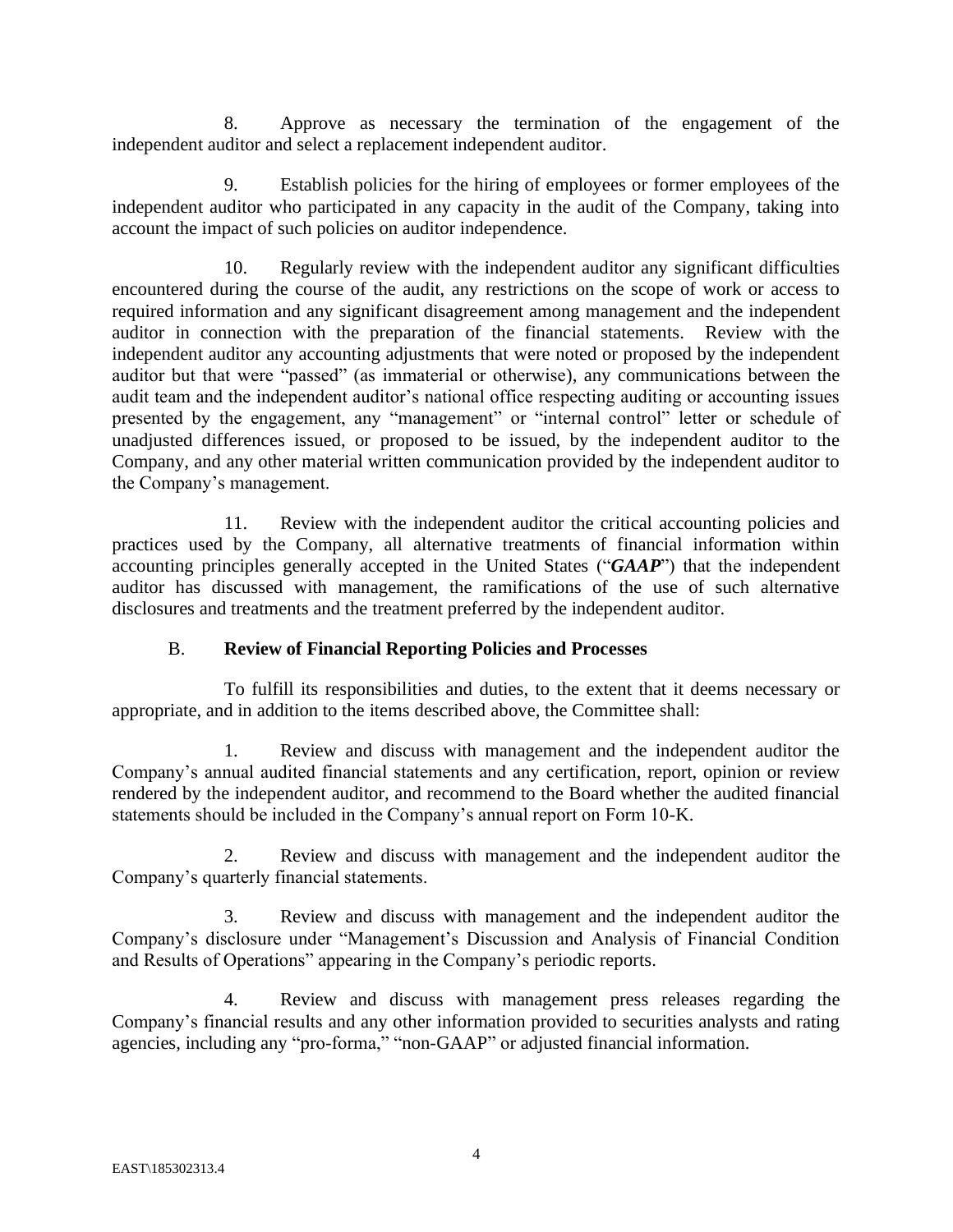8. Approve as necessary the termination of the engagement of the independent auditor and select a replacement independent auditor.

9. Establish policies for the hiring of employees or former employees of the independent auditor who participated in any capacity in the audit of the Company, taking into account the impact of such policies on auditor independence.

10. Regularly review with the independent auditor any significant difficulties encountered during the course of the audit, any restrictions on the scope of work or access to required information and any significant disagreement among management and the independent auditor in connection with the preparation of the financial statements. Review with the independent auditor any accounting adjustments that were noted or proposed by the independent auditor but that were "passed" (as immaterial or otherwise), any communications between the audit team and the independent auditor's national office respecting auditing or accounting issues presented by the engagement, any "management" or "internal control" letter or schedule of unadjusted differences issued, or proposed to be issued, by the independent auditor to the Company, and any other material written communication provided by the independent auditor to the Company's management.

11. Review with the independent auditor the critical accounting policies and practices used by the Company, all alternative treatments of financial information within accounting principles generally accepted in the United States ("*GAAP*") that the independent auditor has discussed with management, the ramifications of the use of such alternative disclosures and treatments and the treatment preferred by the independent auditor.

# B. **Review of Financial Reporting Policies and Processes**

To fulfill its responsibilities and duties, to the extent that it deems necessary or appropriate, and in addition to the items described above, the Committee shall:

1. Review and discuss with management and the independent auditor the Company's annual audited financial statements and any certification, report, opinion or review rendered by the independent auditor, and recommend to the Board whether the audited financial statements should be included in the Company's annual report on Form 10-K.

2. Review and discuss with management and the independent auditor the Company's quarterly financial statements.

3. Review and discuss with management and the independent auditor the Company's disclosure under "Management's Discussion and Analysis of Financial Condition and Results of Operations" appearing in the Company's periodic reports.

4. Review and discuss with management press releases regarding the Company's financial results and any other information provided to securities analysts and rating agencies, including any "pro-forma," "non-GAAP" or adjusted financial information.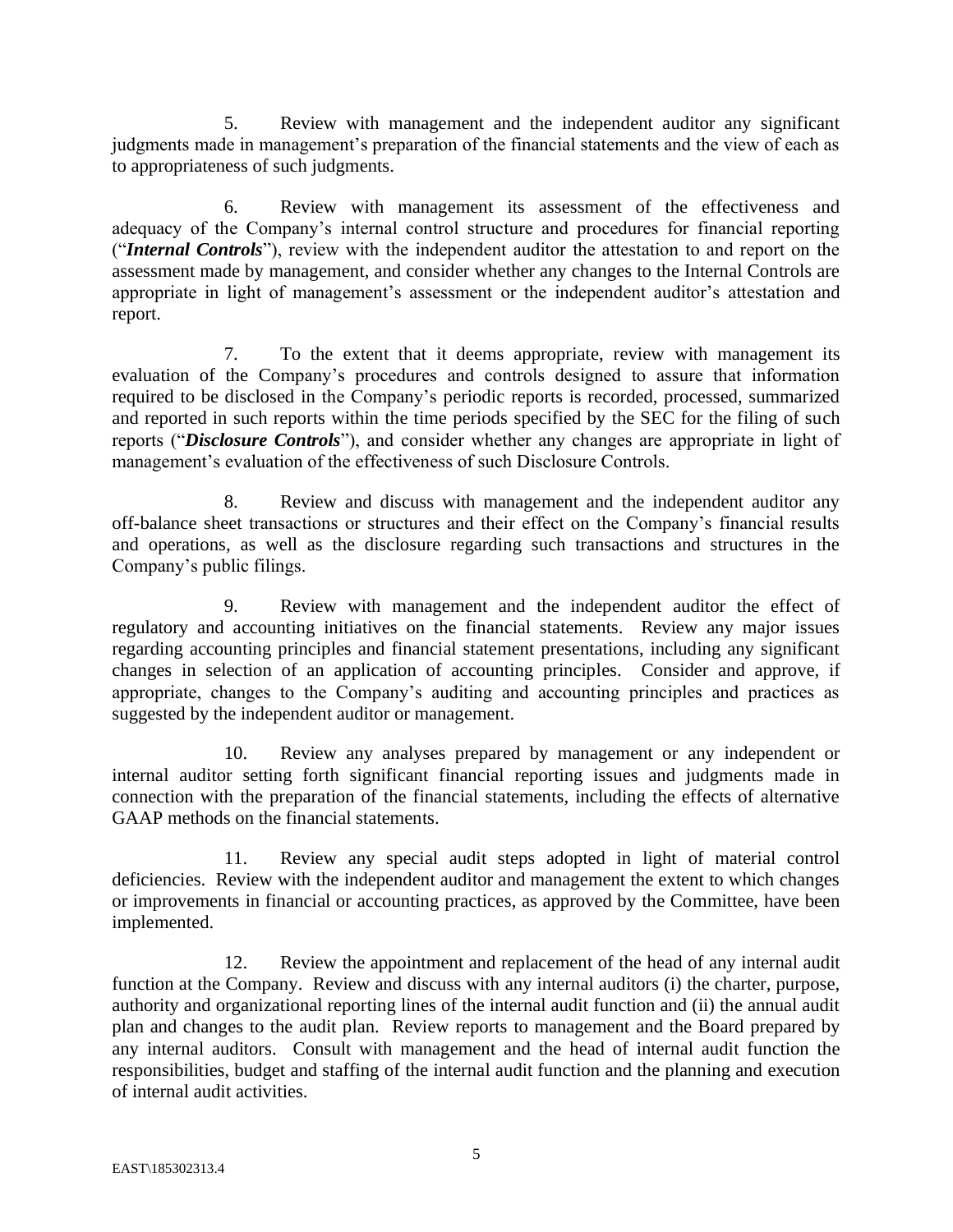5. Review with management and the independent auditor any significant judgments made in management's preparation of the financial statements and the view of each as to appropriateness of such judgments.

6. Review with management its assessment of the effectiveness and adequacy of the Company's internal control structure and procedures for financial reporting ("*Internal Controls*"), review with the independent auditor the attestation to and report on the assessment made by management, and consider whether any changes to the Internal Controls are appropriate in light of management's assessment or the independent auditor's attestation and report.

7. To the extent that it deems appropriate, review with management its evaluation of the Company's procedures and controls designed to assure that information required to be disclosed in the Company's periodic reports is recorded, processed, summarized and reported in such reports within the time periods specified by the SEC for the filing of such reports ("*Disclosure Controls*"), and consider whether any changes are appropriate in light of management's evaluation of the effectiveness of such Disclosure Controls.

8. Review and discuss with management and the independent auditor any off-balance sheet transactions or structures and their effect on the Company's financial results and operations, as well as the disclosure regarding such transactions and structures in the Company's public filings.

9. Review with management and the independent auditor the effect of regulatory and accounting initiatives on the financial statements. Review any major issues regarding accounting principles and financial statement presentations, including any significant changes in selection of an application of accounting principles. Consider and approve, if appropriate, changes to the Company's auditing and accounting principles and practices as suggested by the independent auditor or management.

10. Review any analyses prepared by management or any independent or internal auditor setting forth significant financial reporting issues and judgments made in connection with the preparation of the financial statements, including the effects of alternative GAAP methods on the financial statements.

11. Review any special audit steps adopted in light of material control deficiencies. Review with the independent auditor and management the extent to which changes or improvements in financial or accounting practices, as approved by the Committee, have been implemented.

12. Review the appointment and replacement of the head of any internal audit function at the Company. Review and discuss with any internal auditors (i) the charter, purpose, authority and organizational reporting lines of the internal audit function and (ii) the annual audit plan and changes to the audit plan. Review reports to management and the Board prepared by any internal auditors. Consult with management and the head of internal audit function the responsibilities, budget and staffing of the internal audit function and the planning and execution of internal audit activities.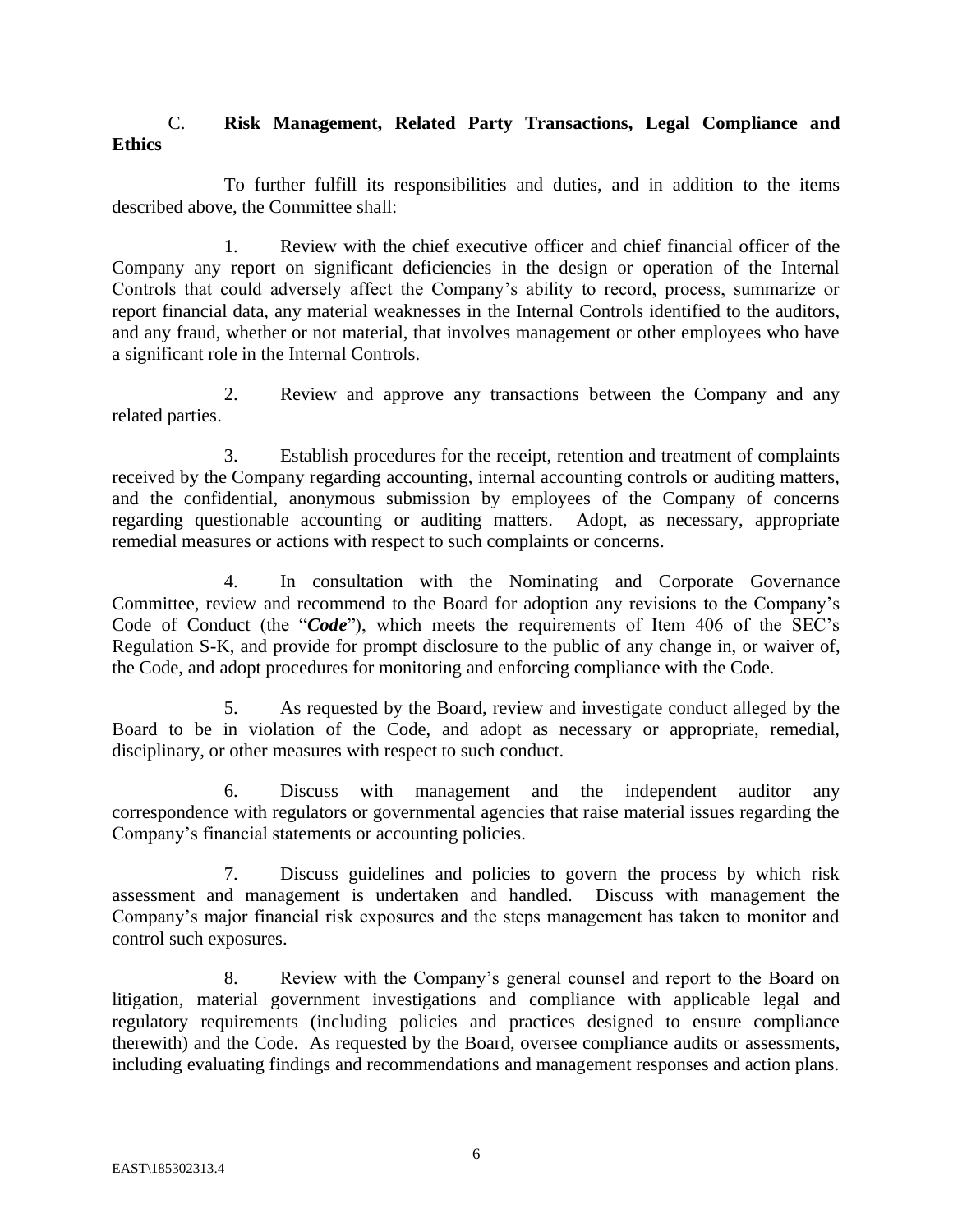## C. **Risk Management, Related Party Transactions, Legal Compliance and Ethics**

To further fulfill its responsibilities and duties, and in addition to the items described above, the Committee shall:

1. Review with the chief executive officer and chief financial officer of the Company any report on significant deficiencies in the design or operation of the Internal Controls that could adversely affect the Company's ability to record, process, summarize or report financial data, any material weaknesses in the Internal Controls identified to the auditors, and any fraud, whether or not material, that involves management or other employees who have a significant role in the Internal Controls.

2. Review and approve any transactions between the Company and any related parties.

3. Establish procedures for the receipt, retention and treatment of complaints received by the Company regarding accounting, internal accounting controls or auditing matters, and the confidential, anonymous submission by employees of the Company of concerns regarding questionable accounting or auditing matters. Adopt, as necessary, appropriate remedial measures or actions with respect to such complaints or concerns.

4. In consultation with the Nominating and Corporate Governance Committee, review and recommend to the Board for adoption any revisions to the Company's Code of Conduct (the "*Code*"), which meets the requirements of Item 406 of the SEC's Regulation S-K, and provide for prompt disclosure to the public of any change in, or waiver of, the Code, and adopt procedures for monitoring and enforcing compliance with the Code.

5. As requested by the Board, review and investigate conduct alleged by the Board to be in violation of the Code, and adopt as necessary or appropriate, remedial, disciplinary, or other measures with respect to such conduct.

6. Discuss with management and the independent auditor any correspondence with regulators or governmental agencies that raise material issues regarding the Company's financial statements or accounting policies.

7. Discuss guidelines and policies to govern the process by which risk assessment and management is undertaken and handled. Discuss with management the Company's major financial risk exposures and the steps management has taken to monitor and control such exposures.

8. Review with the Company's general counsel and report to the Board on litigation, material government investigations and compliance with applicable legal and regulatory requirements (including policies and practices designed to ensure compliance therewith) and the Code. As requested by the Board, oversee compliance audits or assessments, including evaluating findings and recommendations and management responses and action plans.